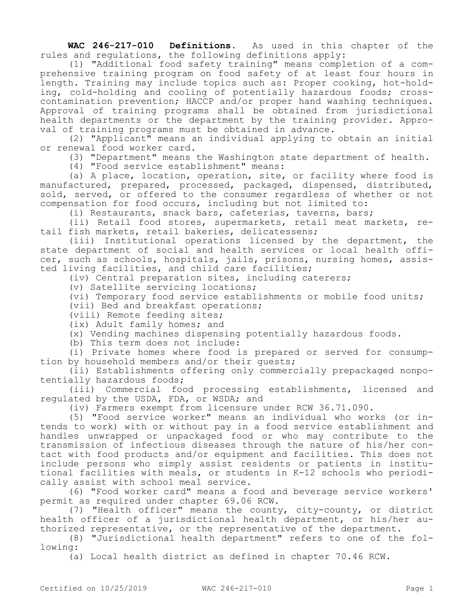**WAC 246-217-010 Definitions.** As used in this chapter of the rules and regulations, the following definitions apply:

(1) "Additional food safety training" means completion of a comprehensive training program on food safety of at least four hours in length. Training may include topics such as: Proper cooking, hot-holding, cold-holding and cooling of potentially hazardous foods; crosscontamination prevention; HACCP and/or proper hand washing techniques. Approval of training programs shall be obtained from jurisdictional health departments or the department by the training provider. Approval of training programs must be obtained in advance.

(2) "Applicant" means an individual applying to obtain an initial or renewal food worker card.

(3) "Department" means the Washington state department of health.

(4) "Food service establishment" means:

(a) A place, location, operation, site, or facility where food is manufactured, prepared, processed, packaged, dispensed, distributed, sold, served, or offered to the consumer regardless of whether or not compensation for food occurs, including but not limited to:

(i) Restaurants, snack bars, cafeterias, taverns, bars;

(ii) Retail food stores, supermarkets, retail meat markets, retail fish markets, retail bakeries, delicatessens;

(iii) Institutional operations licensed by the department, the state department of social and health services or local health officer, such as schools, hospitals, jails, prisons, nursing homes, assisted living facilities, and child care facilities;

(iv) Central preparation sites, including caterers;

(v) Satellite servicing locations;

(vi) Temporary food service establishments or mobile food units;

(vii) Bed and breakfast operations;

(viii) Remote feeding sites;

(ix) Adult family homes; and

(x) Vending machines dispensing potentially hazardous foods.

(b) This term does not include:

(i) Private homes where food is prepared or served for consumption by household members and/or their guests;

(ii) Establishments offering only commercially prepackaged nonpotentially hazardous foods;

(iii) Commercial food processing establishments, licensed and regulated by the USDA, FDA, or WSDA; and

(iv) Farmers exempt from licensure under RCW 36.71.090.

(5) "Food service worker" means an individual who works (or intends to work) with or without pay in a food service establishment and handles unwrapped or unpackaged food or who may contribute to the transmission of infectious diseases through the nature of his/her contact with food products and/or equipment and facilities. This does not include persons who simply assist residents or patients in institutional facilities with meals, or students in K-12 schools who periodically assist with school meal service.

(6) "Food worker card" means a food and beverage service workers' permit as required under chapter 69.06 RCW.

(7) "Health officer" means the county, city-county, or district health officer of a jurisdictional health department, or his/her authorized representative, or the representative of the department.

(8) "Jurisdictional health department" refers to one of the following:

(a) Local health district as defined in chapter 70.46 RCW.